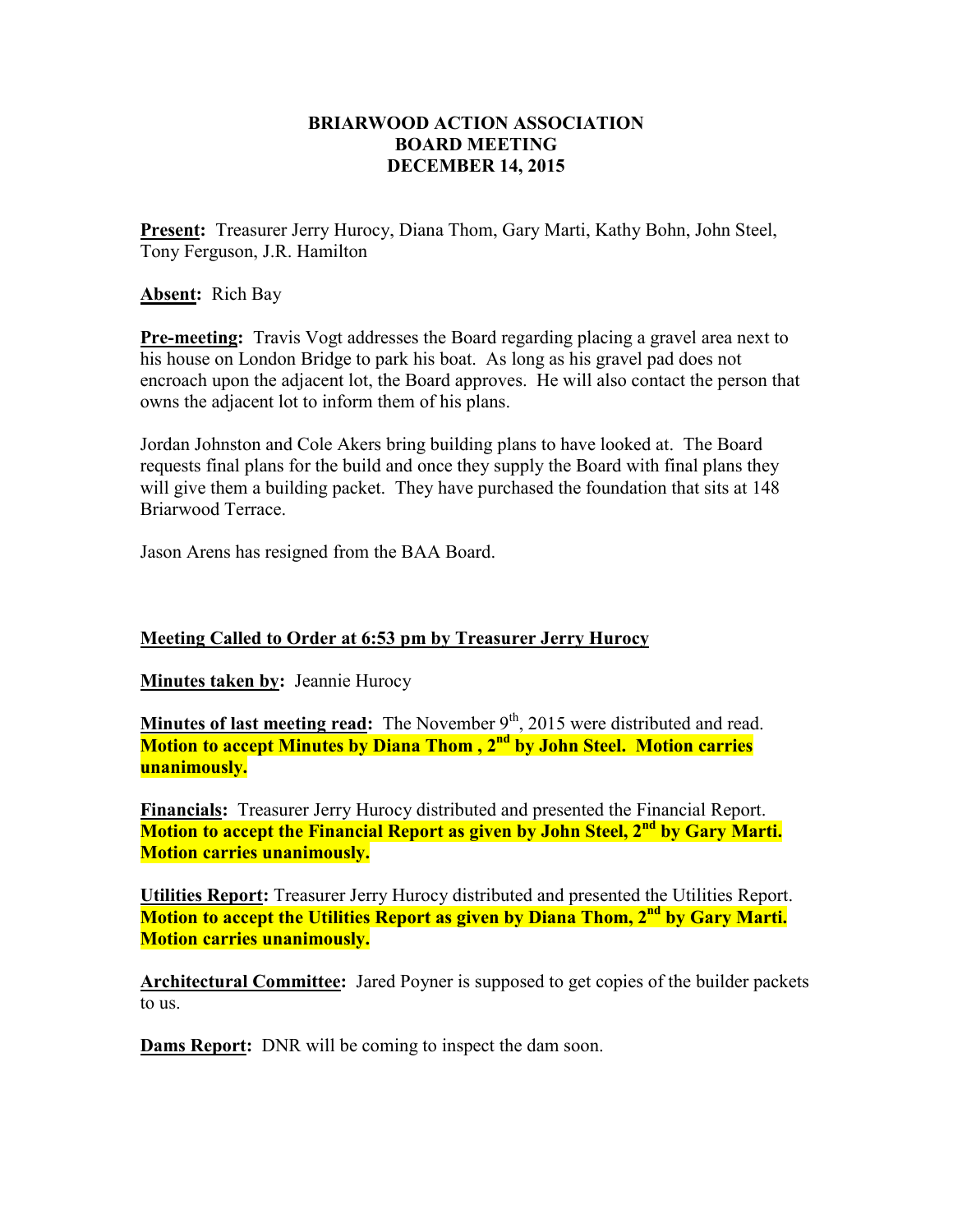## **BRIARWOOD ACTION ASSOCIATION BOARD MEETING DECEMBER 14, 2015**

**Present:** Treasurer Jerry Hurocy, Diana Thom, Gary Marti, Kathy Bohn, John Steel, Tony Ferguson, J.R. Hamilton

**Absent:** Rich Bay

**Pre-meeting:** Travis Vogt addresses the Board regarding placing a gravel area next to his house on London Bridge to park his boat. As long as his gravel pad does not encroach upon the adjacent lot, the Board approves. He will also contact the person that owns the adjacent lot to inform them of his plans.

Jordan Johnston and Cole Akers bring building plans to have looked at. The Board requests final plans for the build and once they supply the Board with final plans they will give them a building packet. They have purchased the foundation that sits at 148 Briarwood Terrace.

Jason Arens has resigned from the BAA Board.

## **Meeting Called to Order at 6:53 pm by Treasurer Jerry Hurocy**

**Minutes taken by: Jeannie Hurocy** 

**Minutes of last meeting read:** The November 9<sup>th</sup>, 2015 were distributed and read. **Motion to accept Minutes by Diana Thom , 2nd by John Steel. Motion carries unanimously.**

**Financials:** Treasurer Jerry Hurocy distributed and presented the Financial Report. **Motion to accept the Financial Report as given by John Steel, 2nd by Gary Marti. Motion carries unanimously.** 

**Utilities Report:** Treasurer Jerry Hurocy distributed and presented the Utilities Report. **Motion to accept the Utilities Report as given by Diana Thom, 2nd by Gary Marti. Motion carries unanimously.**

**Architectural Committee:** Jared Poyner is supposed to get copies of the builder packets to us.

**Dams Report:** DNR will be coming to inspect the dam soon.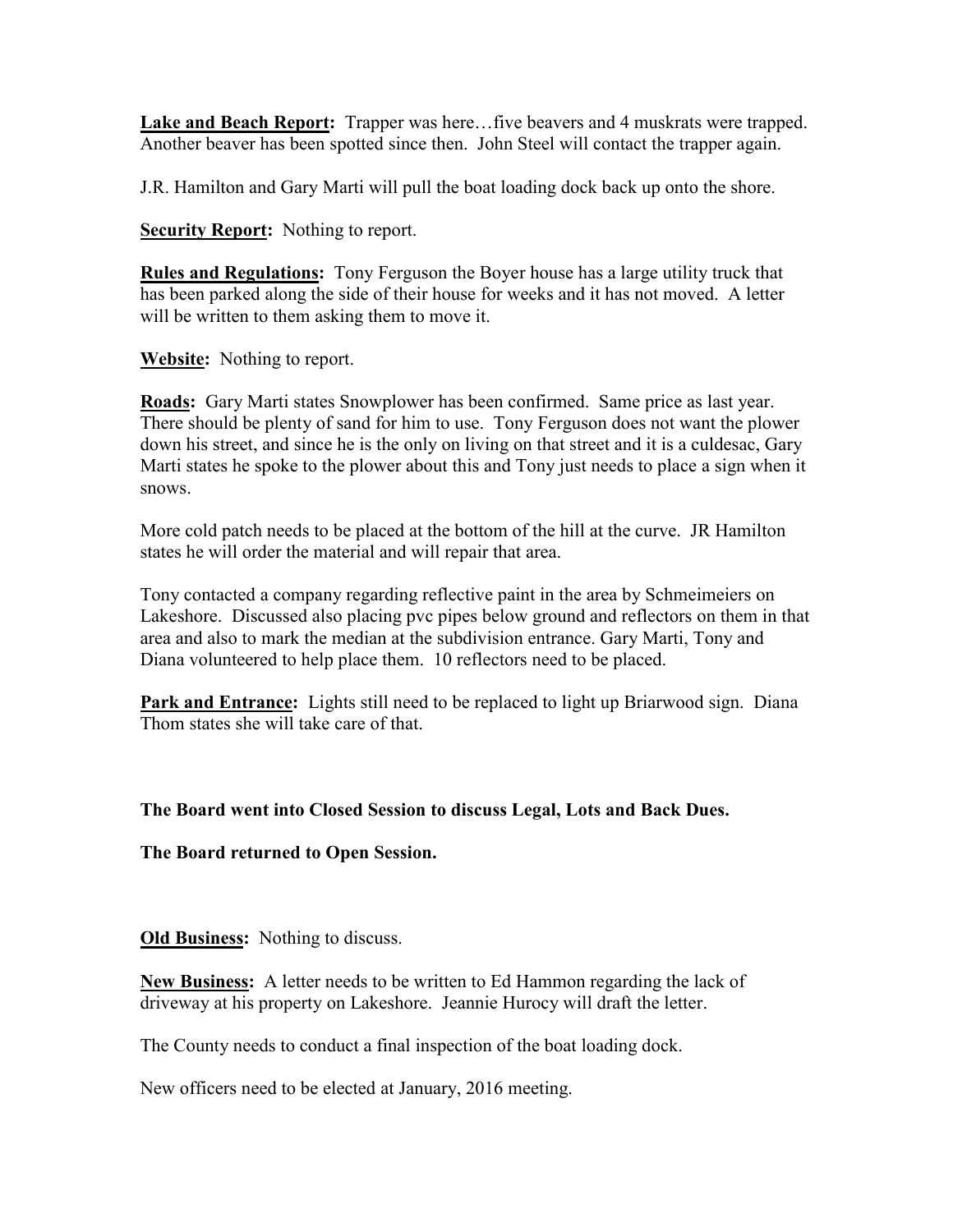Lake and Beach Report: Trapper was here...five beavers and 4 muskrats were trapped. Another beaver has been spotted since then. John Steel will contact the trapper again.

J.R. Hamilton and Gary Marti will pull the boat loading dock back up onto the shore.

**Security Report:** Nothing to report.

**Rules and Regulations:** Tony Ferguson the Boyer house has a large utility truck that has been parked along the side of their house for weeks and it has not moved. A letter will be written to them asking them to move it.

**Website:** Nothing to report.

**Roads:** Gary Marti states Snowplower has been confirmed. Same price as last year. There should be plenty of sand for him to use. Tony Ferguson does not want the plower down his street, and since he is the only on living on that street and it is a culdesac, Gary Marti states he spoke to the plower about this and Tony just needs to place a sign when it snows.

More cold patch needs to be placed at the bottom of the hill at the curve. JR Hamilton states he will order the material and will repair that area.

Tony contacted a company regarding reflective paint in the area by Schmeimeiers on Lakeshore. Discussed also placing pvc pipes below ground and reflectors on them in that area and also to mark the median at the subdivision entrance. Gary Marti, Tony and Diana volunteered to help place them. 10 reflectors need to be placed.

**Park and Entrance:** Lights still need to be replaced to light up Briarwood sign. Diana Thom states she will take care of that.

## **The Board went into Closed Session to discuss Legal, Lots and Back Dues.**

**The Board returned to Open Session.** 

**Old Business:** Nothing to discuss.

**New Business:** A letter needs to be written to Ed Hammon regarding the lack of driveway at his property on Lakeshore. Jeannie Hurocy will draft the letter.

The County needs to conduct a final inspection of the boat loading dock.

New officers need to be elected at January, 2016 meeting.